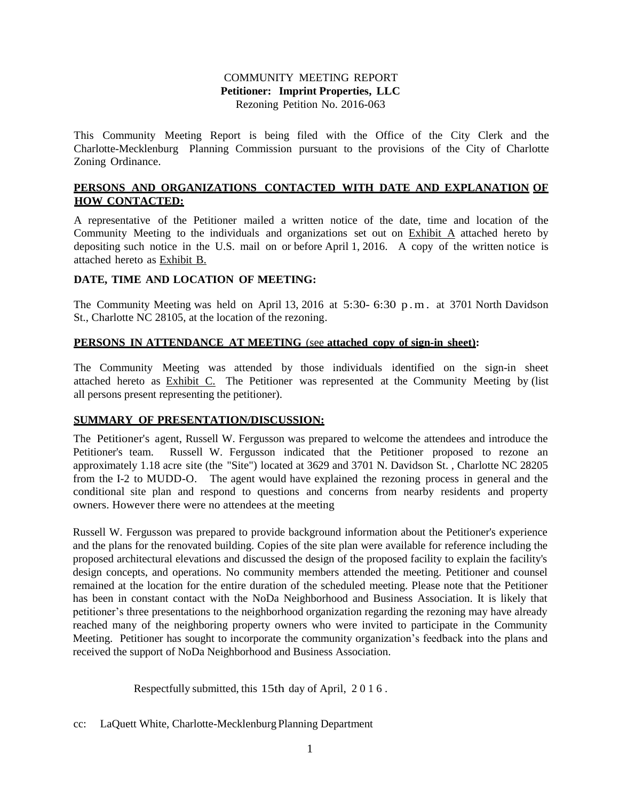# COMMUNITY MEETING REPORT **Petitioner: Imprint Properties, LLC**  Rezoning Petition No. 2016-063

This Community Meeting Report is being filed with the Office of the City Clerk and the Charlotte-Mecklenburg Planning Commission pursuant to the provisions of the City of Charlotte Zoning Ordinance.

# **PERSONS AND ORGANIZATIONS CONTACTED WITH DATE AND EXPLANATION OF HOW CONTACTED:**

A representative of the Petitioner mailed a written notice of the date, time and location of the Community Meeting to the individuals and organizations set out on Exhibit A attached hereto by depositing such notice in the U.S. mail on or before April 1, 2016. A copy of the written notice is attached hereto as Exhibit B.

## **DATE, TIME AND LOCATION OF MEETING:**

The Community Meeting was held on April 13, 2016 at 5:30- 6:30 p.m. at 3701 North Davidson St., Charlotte NC 28105, at the location of the rezoning.

# **PERSONS IN ATTENDANCE AT MEETING** (see **attached copy of sign-in sheet):**

The Community Meeting was attended by those individuals identified on the sign-in sheet attached hereto as Exhibit C. The Petitioner was represented at the Community Meeting by (list all persons present representing the petitioner).

# **SUMMARY OF PRESENTATION/DISCUSSION:**

The Petitioner's agent, Russell W. Fergusson was prepared to welcome the attendees and introduce the Petitioner's team. Russell W. Fergusson indicated that the Petitioner proposed to rezone an approximately 1.18 acre site (the "Site") located at 3629 and 3701 N. Davidson St. , Charlotte NC 28205 from the I-2 to MUDD-O. The agent would have explained the rezoning process in general and the conditional site plan and respond to questions and concerns from nearby residents and property owners. However there were no attendees at the meeting

Russell W. Fergusson was prepared to provide background information about the Petitioner's experience and the plans for the renovated building. Copies of the site plan were available for reference including the proposed architectural elevations and discussed the design of the proposed facility to explain the facility's design concepts, and operations. No community members attended the meeting. Petitioner and counsel remained at the location for the entire duration of the scheduled meeting. Please note that the Petitioner has been in constant contact with the NoDa Neighborhood and Business Association. It is likely that petitioner's three presentations to the neighborhood organization regarding the rezoning may have already reached many of the neighboring property owners who were invited to participate in the Community Meeting. Petitioner has sought to incorporate the community organization's feedback into the plans and received the support of NoDa Neighborhood and Business Association.

Respectfully submitted, this 15th day of April, 2 0 1 6 .

## cc: LaQuett White, Charlotte-Mecklenburg Planning Department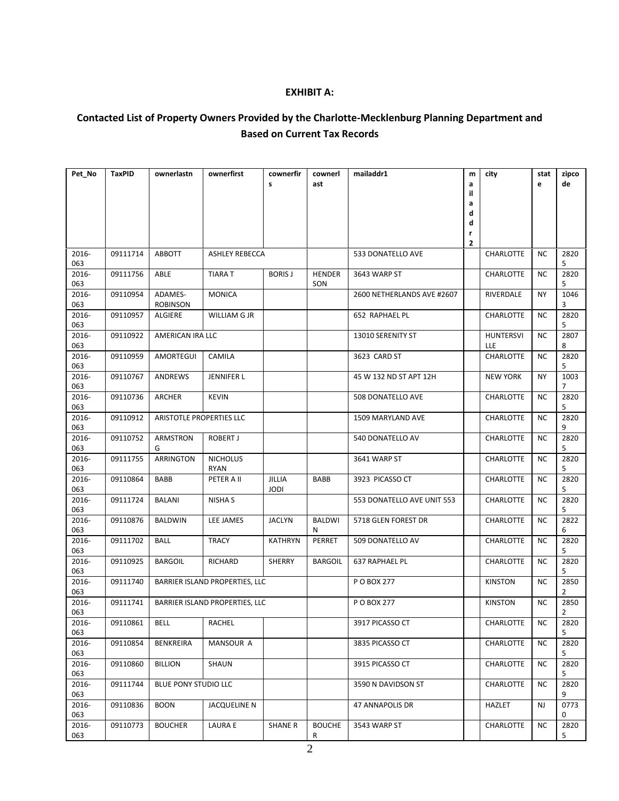# **EXHIBIT A:**

# **Contacted List of Property Owners Provided by the Charlotte-Mecklenburg Planning Department and Based on Current Tax Records**

| Pet_No       | <b>TaxPID</b> | ownerlastn                 | ownerfirst                     | cownerfir      | cownerl        | mailaddr1                  | m                       | city             | stat      | zipco     |
|--------------|---------------|----------------------------|--------------------------------|----------------|----------------|----------------------------|-------------------------|------------------|-----------|-----------|
|              |               |                            |                                | S              | ast            |                            | a                       |                  | e         | de        |
|              |               |                            |                                |                |                |                            | il                      |                  |           |           |
|              |               |                            |                                |                |                |                            | а                       |                  |           |           |
|              |               |                            |                                |                |                |                            | d                       |                  |           |           |
|              |               |                            |                                |                |                |                            | d<br>r                  |                  |           |           |
|              |               |                            |                                |                |                |                            | $\overline{\mathbf{2}}$ |                  |           |           |
| 2016-        | 09111714      | <b>ABBOTT</b>              | <b>ASHLEY REBECCA</b>          |                |                | 533 DONATELLO AVE          |                         | CHARLOTTE        | NC        | 2820      |
| 063          |               |                            |                                |                |                |                            |                         |                  |           | 5         |
| 2016-        | 09111756      | ABLE                       | <b>TIARA T</b>                 | <b>BORIS J</b> | <b>HENDER</b>  | 3643 WARP ST               |                         | CHARLOTTE        | <b>NC</b> | 2820      |
| 063          |               |                            |                                |                | SON            |                            |                         |                  |           | 5         |
| 2016-<br>063 | 09110954      | ADAMES-<br><b>ROBINSON</b> | <b>MONICA</b>                  |                |                | 2600 NETHERLANDS AVE #2607 |                         | RIVERDALE        | NY        | 1046<br>3 |
| 2016-        | 09110957      | <b>ALGIERE</b>             | WILLIAM G JR                   |                |                | 652 RAPHAEL PL             |                         | CHARLOTTE        | <b>NC</b> | 2820      |
| 063          |               |                            |                                |                |                |                            |                         |                  |           | 5         |
| 2016-        | 09110922      | AMERICAN IRA LLC           |                                |                |                | 13010 SERENITY ST          |                         | <b>HUNTERSVI</b> | NC.       | 2807      |
| 063          |               |                            |                                |                |                |                            |                         | <b>LLE</b>       |           | 8         |
| 2016-        | 09110959      | AMORTEGUI                  | CAMILA                         |                |                | 3623 CARD ST               |                         | CHARLOTTE        | <b>NC</b> | 2820      |
| 063          |               |                            |                                |                |                |                            |                         |                  |           | 5         |
| 2016-        | 09110767      | ANDREWS                    | <b>JENNIFER L</b>              |                |                | 45 W 132 ND ST APT 12H     |                         | <b>NEW YORK</b>  | <b>NY</b> | 1003      |
| 063          |               |                            |                                |                |                |                            |                         |                  |           | 7         |
| 2016-<br>063 | 09110736      | ARCHER                     | <b>KEVIN</b>                   |                |                | 508 DONATELLO AVE          |                         | CHARLOTTE        | <b>NC</b> | 2820<br>5 |
| 2016-        | 09110912      | ARISTOTLE PROPERTIES LLC   |                                |                |                | 1509 MARYLAND AVE          |                         | CHARLOTTE        | NC.       | 2820      |
| 063          |               |                            |                                |                |                |                            |                         |                  |           | 9         |
| 2016-        | 09110752      | ARMSTRON                   | <b>ROBERT J</b>                |                |                | 540 DONATELLO AV           |                         | CHARLOTTE        | NC.       | 2820      |
| 063          |               | G                          |                                |                |                |                            |                         |                  |           | 5         |
| 2016-        | 09111755      | ARRINGTON                  | <b>NICHOLUS</b>                |                |                | 3641 WARP ST               |                         | CHARLOTTE        | ΝC        | 2820      |
| 063          |               |                            | <b>RYAN</b>                    |                |                |                            |                         |                  |           | 5         |
| 2016-        | 09110864      | <b>BABB</b>                | PETER A II                     | JILLIA         | BABB           | 3923 PICASSO CT            |                         | CHARLOTTE        | NC.       | 2820      |
| 063<br>2016- | 09111724      | <b>BALANI</b>              | <b>NISHA S</b>                 | <b>JODI</b>    |                | 553 DONATELLO AVE UNIT 553 |                         | CHARLOTTE        | <b>NC</b> | 5<br>2820 |
| 063          |               |                            |                                |                |                |                            |                         |                  |           | 5         |
| 2016-        | 09110876      | <b>BALDWIN</b>             | LEE JAMES                      | <b>JACLYN</b>  | <b>BALDWI</b>  | 5718 GLEN FOREST DR        |                         | CHARLOTTE        | NC        | 2822      |
| 063          |               |                            |                                |                | N              |                            |                         |                  |           | 6         |
| 2016-        | 09111702      | <b>BALL</b>                | <b>TRACY</b>                   | <b>KATHRYN</b> | PERRET         | 509 DONATELLO AV           |                         | CHARLOTTE        | NC.       | 2820      |
| 063          |               |                            |                                |                |                |                            |                         |                  |           | 5         |
| 2016-        | 09110925      | <b>BARGOIL</b>             | RICHARD                        | SHERRY         | <b>BARGOIL</b> | <b>637 RAPHAEL PL</b>      |                         | CHARLOTTE        | NC        | 2820      |
| 063          | 09111740      |                            | BARRIER ISLAND PROPERTIES, LLC |                |                | P O BOX 277                |                         | <b>KINSTON</b>   | ΝC        | 5<br>2850 |
| 2016-<br>063 |               |                            |                                |                |                |                            |                         |                  |           | 2         |
| 2016-        | 09111741      |                            | BARRIER ISLAND PROPERTIES, LLC |                |                | P O BOX 277                |                         | <b>KINSTON</b>   | <b>NC</b> | 2850      |
| 063          |               |                            |                                |                |                |                            |                         |                  |           | 2         |
| 2016-        | 09110861      | <b>BELL</b>                | RACHEL                         |                |                | 3917 PICASSO CT            |                         | CHARLOTTE        | <b>NC</b> | 2820      |
| 063          |               |                            |                                |                |                |                            |                         |                  |           | 5         |
| 2016-        | 09110854      | BENKREIRA                  | MANSOUR A                      |                |                | 3835 PICASSO CT            |                         | CHARLOTTE        | NC.       | 2820      |
| 063          |               |                            |                                |                |                |                            |                         |                  |           | 5         |
| 2016-        | 09110860      | <b>BILLION</b>             | SHAUN                          |                |                | 3915 PICASSO CT            |                         | <b>CHARLOTTE</b> | <b>NC</b> | 2820<br>5 |
| 063<br>2016- | 09111744      | BLUE PONY STUDIO LLC       |                                |                |                | 3590 N DAVIDSON ST         |                         | CHARLOTTE        | NC.       | 2820      |
| 063          |               |                            |                                |                |                |                            |                         |                  |           | 9         |
| 2016-        | 09110836      | <b>BOON</b>                | <b>JACQUELINE N</b>            |                |                | 47 ANNAPOLIS DR            |                         | <b>HAZLET</b>    | <b>NJ</b> | 0773      |
| 063          |               |                            |                                |                |                |                            |                         |                  |           | 0         |
| 2016-        | 09110773      | <b>BOUCHER</b>             | <b>LAURA E</b>                 | <b>SHANE R</b> | <b>BOUCHE</b>  | 3543 WARP ST               |                         | CHARLOTTE        | <b>NC</b> | 2820      |
| 063          |               |                            |                                |                | R              |                            |                         |                  |           | 5         |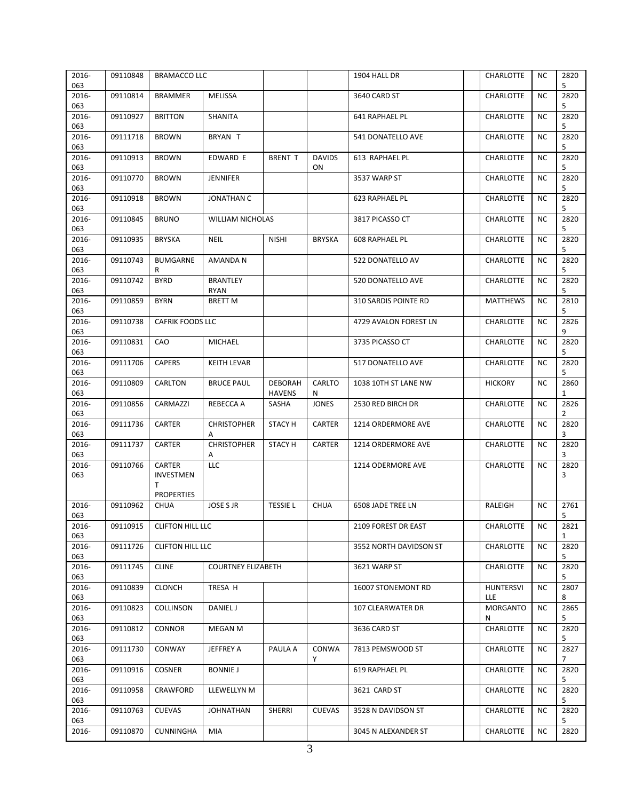| 2016-        | 09110848 | <b>BRAMACCO LLC</b>     |                                |                                 |                     | 1904 HALL DR           | <b>CHARLOTTE</b>     | ΝC        | 2820      |
|--------------|----------|-------------------------|--------------------------------|---------------------------------|---------------------|------------------------|----------------------|-----------|-----------|
| 063<br>2016- | 09110814 | <b>BRAMMER</b>          | MELISSA                        |                                 |                     | 3640 CARD ST           | <b>CHARLOTTE</b>     | <b>NC</b> | 5<br>2820 |
| 063          |          |                         |                                |                                 |                     |                        |                      |           | 5         |
| 2016-        | 09110927 | <b>BRITTON</b>          | SHANITA                        |                                 |                     | 641 RAPHAEL PL         | <b>CHARLOTTE</b>     | <b>NC</b> | 2820      |
| 063          |          |                         |                                |                                 |                     |                        |                      |           | 5         |
| 2016-<br>063 | 09111718 | <b>BROWN</b>            | BRYAN T                        |                                 |                     | 541 DONATELLO AVE      | <b>CHARLOTTE</b>     | NC.       | 2820<br>5 |
| 2016-<br>063 | 09110913 | <b>BROWN</b>            | EDWARD E                       | <b>BRENT T</b>                  | <b>DAVIDS</b><br>ON | 613 RAPHAEL PL         | <b>CHARLOTTE</b>     | NC.       | 2820<br>5 |
| 2016-<br>063 | 09110770 | <b>BROWN</b>            | <b>JENNIFER</b>                |                                 |                     | 3537 WARP ST           | <b>CHARLOTTE</b>     | <b>NC</b> | 2820<br>5 |
| 2016-        | 09110918 | <b>BROWN</b>            | <b>JONATHAN C</b>              |                                 |                     | 623 RAPHAEL PL         | <b>CHARLOTTE</b>     | ΝC        | 2820      |
| 063<br>2016- | 09110845 | <b>BRUNO</b>            | <b>WILLIAM NICHOLAS</b>        |                                 |                     | 3817 PICASSO CT        | <b>CHARLOTTE</b>     | <b>NC</b> | 5<br>2820 |
| 063          |          |                         |                                |                                 |                     |                        |                      |           | 5         |
| 2016-<br>063 | 09110935 | <b>BRYSKA</b>           | NEIL                           | <b>NISHI</b>                    | <b>BRYSKA</b>       | <b>608 RAPHAEL PL</b>  | <b>CHARLOTTE</b>     | ΝC        | 2820<br>5 |
| 2016-<br>063 | 09110743 | <b>BUMGARNE</b><br>R    | <b>AMANDA N</b>                |                                 |                     | 522 DONATELLO AV       | <b>CHARLOTTE</b>     | ΝC        | 2820<br>5 |
| 2016-<br>063 | 09110742 | <b>BYRD</b>             | <b>BRANTLEY</b><br><b>RYAN</b> |                                 |                     | 520 DONATELLO AVE      | CHARLOTTE            | ΝC        | 2820<br>5 |
| 2016-<br>063 | 09110859 | <b>BYRN</b>             | <b>BRETT M</b>                 |                                 |                     | 310 SARDIS POINTE RD   | <b>MATTHEWS</b>      | ΝC        | 2810<br>5 |
| 2016-        | 09110738 | <b>CAFRIK FOODS LLC</b> |                                |                                 |                     | 4729 AVALON FOREST LN  | CHARLOTTE            | <b>NC</b> | 2826      |
| 063          |          |                         |                                |                                 |                     |                        |                      |           | 9         |
| 2016-<br>063 | 09110831 | CAO                     | <b>MICHAEL</b>                 |                                 |                     | 3735 PICASSO CT        | <b>CHARLOTTE</b>     | ΝC        | 2820<br>5 |
| 2016-        | 09111706 | <b>CAPERS</b>           | <b>KEITH LEVAR</b>             |                                 |                     | 517 DONATELLO AVE      | <b>CHARLOTTE</b>     | ΝC        | 2820      |
| 063          |          |                         |                                |                                 |                     |                        |                      |           | 5         |
| 2016-<br>063 | 09110809 | CARLTON                 | <b>BRUCE PAUL</b>              | <b>DEBORAH</b><br><b>HAVENS</b> | CARLTO<br>N         | 1038 10TH ST LANE NW   | <b>HICKORY</b>       | <b>NC</b> | 2860<br>1 |
| 2016-<br>063 | 09110856 | CARMAZZI                | REBECCA A                      | SASHA                           | <b>JONES</b>        | 2530 RED BIRCH DR      | <b>CHARLOTTE</b>     | ΝC        | 2826<br>2 |
| 2016-<br>063 | 09111736 | CARTER                  | <b>CHRISTOPHER</b><br>Α        | STACY H                         | <b>CARTER</b>       | 1214 ORDERMORE AVE     | <b>CHARLOTTE</b>     | ΝC        | 2820<br>3 |
| 2016-<br>063 | 09111737 | <b>CARTER</b>           | <b>CHRISTOPHER</b><br>Α        | <b>STACY H</b>                  | CARTER              | 1214 ORDERMORE AVE     | <b>CHARLOTTE</b>     | <b>NC</b> | 2820<br>3 |
| 2016-        | 09110766 | <b>CARTER</b>           | <b>LLC</b>                     |                                 |                     | 1214 ODERMORE AVE      | CHARLOTTE            | ΝC        | 2820      |
| 063          |          | <b>INVESTMEN</b>        |                                |                                 |                     |                        |                      |           | 3         |
|              |          | T.<br><b>PROPERTIES</b> |                                |                                 |                     |                        |                      |           |           |
| 2016-        | 09110962 | <b>CHUA</b>             | <b>JOSE S JR</b>               | <b>TESSIE L</b>                 | <b>CHUA</b>         | 6508 JADE TREE LN      | RALEIGH              | <b>NC</b> | 2761      |
| 063          |          |                         |                                |                                 |                     |                        |                      |           | 5         |
| 2016-<br>063 | 09110915 | <b>CLIFTON HILL LLC</b> |                                |                                 |                     | 2109 FOREST DR EAST    | CHARLOTTE            | ΝC        | 2821<br>1 |
| 2016-<br>063 | 09111726 | <b>CLIFTON HILL LLC</b> |                                |                                 |                     | 3552 NORTH DAVIDSON ST | <b>CHARLOTTE</b>     | NC.       | 2820<br>5 |
| 2016-<br>063 | 09111745 | <b>CLINE</b>            | <b>COURTNEY ELIZABETH</b>      |                                 |                     | 3621 WARP ST           | CHARLOTTE            | ΝC        | 2820<br>5 |
| 2016-        | 09110839 | <b>CLONCH</b>           | TRESA H                        |                                 |                     | 16007 STONEMONT RD     | <b>HUNTERSVI</b>     | NC.       | 2807      |
| 063<br>2016- |          |                         | DANIEL J                       |                                 |                     |                        | LLE.                 | NC.       | 8         |
| 063          | 09110823 | COLLINSON               |                                |                                 |                     | 107 CLEARWATER DR      | <b>MORGANTO</b><br>N |           | 2865<br>5 |
| 2016-<br>063 | 09110812 | <b>CONNOR</b>           | MEGAN M                        |                                 |                     | 3636 CARD ST           | CHARLOTTE            | ΝC        | 2820<br>5 |
| 2016-        | 09111730 | CONWAY                  | JEFFREY A                      | PAULA A                         | CONWA               | 7813 PEMSWOOD ST       | CHARLOTTE            | NC.       | 2827      |
| 063<br>2016- | 09110916 | COSNER                  | <b>BONNIE J</b>                |                                 | Υ                   | 619 RAPHAEL PL         | <b>CHARLOTTE</b>     | ΝC        | 7<br>2820 |
| 063<br>2016- | 09110958 | CRAWFORD                | LLEWELLYN M                    |                                 |                     | 3621 CARD ST           | CHARLOTTE            | ΝC        | 5<br>2820 |
| 063          |          |                         |                                |                                 |                     |                        |                      |           | 5         |
| 2016-<br>063 | 09110763 | <b>CUEVAS</b>           | <b>JOHNATHAN</b>               | SHERRI                          | <b>CUEVAS</b>       | 3528 N DAVIDSON ST     | CHARLOTTE            | ΝC        | 2820<br>5 |
| 2016-        | 09110870 | <b>CUNNINGHA</b>        | MIA                            |                                 |                     | 3045 N ALEXANDER ST    | CHARLOTTE            | ΝC        | 2820      |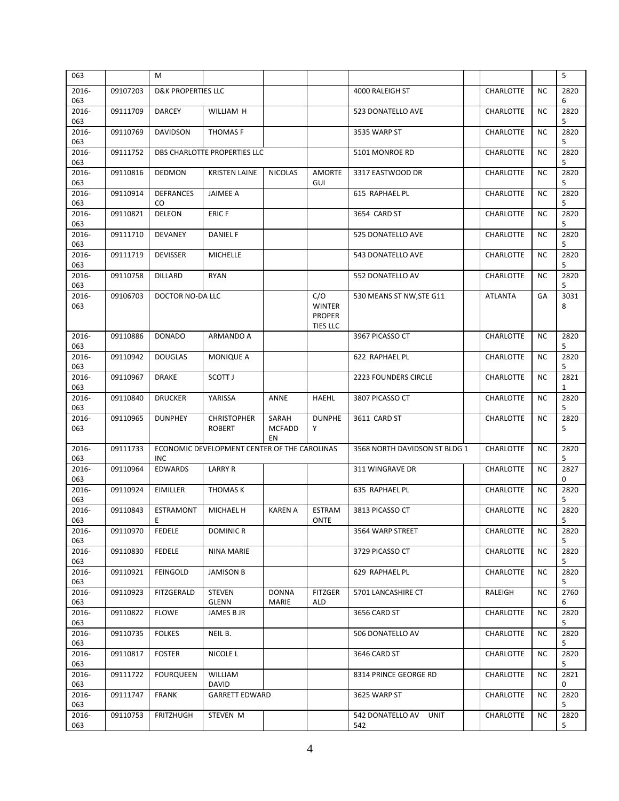| 063          |          | М                             |                                              |                              |                                                   |                               |                  |           | 5         |
|--------------|----------|-------------------------------|----------------------------------------------|------------------------------|---------------------------------------------------|-------------------------------|------------------|-----------|-----------|
| 2016-<br>063 | 09107203 | <b>D&amp;K PROPERTIES LLC</b> |                                              |                              |                                                   | 4000 RALEIGH ST               | <b>CHARLOTTE</b> | <b>NC</b> | 2820<br>6 |
| 2016-<br>063 | 09111709 | <b>DARCEY</b>                 | WILLIAM H                                    |                              |                                                   | 523 DONATELLO AVE             | CHARLOTTE        | NC.       | 2820<br>5 |
| 2016-<br>063 | 09110769 | <b>DAVIDSON</b>               | <b>THOMASF</b>                               |                              |                                                   | 3535 WARP ST                  | <b>CHARLOTTE</b> | <b>NC</b> | 2820<br>5 |
| 2016-<br>063 | 09111752 |                               | DBS CHARLOTTE PROPERTIES LLC                 |                              |                                                   | 5101 MONROE RD                | <b>CHARLOTTE</b> | NC.       | 2820<br>5 |
| 2016-<br>063 | 09110816 | <b>DEDMON</b>                 | <b>KRISTEN LAINE</b>                         | <b>NICOLAS</b>               | <b>AMORTE</b><br>GUI                              | 3317 EASTWOOD DR              | CHARLOTTE        | <b>NC</b> | 2820<br>5 |
| 2016-<br>063 | 09110914 | <b>DEFRANCES</b><br>CO        | <b>JAIMEE A</b>                              |                              |                                                   | 615 RAPHAEL PL                | <b>CHARLOTTE</b> | ΝC        | 2820<br>5 |
| 2016-<br>063 | 09110821 | <b>DELEON</b>                 | <b>ERICF</b>                                 |                              |                                                   | 3654 CARD ST                  | <b>CHARLOTTE</b> | NC.       | 2820<br>5 |
| 2016-<br>063 | 09111710 | <b>DEVANEY</b>                | <b>DANIEL F</b>                              |                              |                                                   | 525 DONATELLO AVE             | <b>CHARLOTTE</b> | NC.       | 2820<br>5 |
| 2016-<br>063 | 09111719 | <b>DEVISSER</b>               | <b>MICHELLE</b>                              |                              |                                                   | 543 DONATELLO AVE             | CHARLOTTE        | NC.       | 2820<br>5 |
| 2016-<br>063 | 09110758 | DILLARD                       | <b>RYAN</b>                                  |                              |                                                   | 552 DONATELLO AV              | <b>CHARLOTTE</b> | <b>NC</b> | 2820<br>5 |
| 2016-<br>063 | 09106703 | DOCTOR NO-DA LLC              |                                              |                              | C/O<br><b>WINTER</b><br><b>PROPER</b><br>TIES LLC | 530 MEANS ST NW, STE G11      | <b>ATLANTA</b>   | GA        | 3031<br>8 |
| 2016-<br>063 | 09110886 | <b>DONADO</b>                 | ARMANDO A                                    |                              |                                                   | 3967 PICASSO CT               | <b>CHARLOTTE</b> | ΝC        | 2820<br>5 |
| 2016-<br>063 | 09110942 | <b>DOUGLAS</b>                | <b>MONIQUE A</b>                             |                              |                                                   | 622 RAPHAEL PL                | <b>CHARLOTTE</b> | NC.       | 2820<br>5 |
| 2016-<br>063 | 09110967 | <b>DRAKE</b>                  | SCOTT J                                      |                              |                                                   | <b>2223 FOUNDERS CIRCLE</b>   | <b>CHARLOTTE</b> | NC.       | 2821<br>1 |
| 2016-<br>063 | 09110840 | <b>DRUCKER</b>                | YARISSA                                      | ANNE                         | <b>HAEHL</b>                                      | 3807 PICASSO CT               | CHARLOTTE        | <b>NC</b> | 2820<br>5 |
| 2016-<br>063 | 09110965 | <b>DUNPHEY</b>                | <b>CHRISTOPHER</b><br><b>ROBERT</b>          | SARAH<br><b>MCFADD</b><br>EN | <b>DUNPHE</b><br>Υ                                | 3611 CARD ST                  | <b>CHARLOTTE</b> | NC.       | 2820<br>5 |
| 2016-<br>063 | 09111733 | <b>INC</b>                    | ECONOMIC DEVELOPMENT CENTER OF THE CAROLINAS |                              |                                                   | 3568 NORTH DAVIDSON ST BLDG 1 | <b>CHARLOTTE</b> | NC.       | 2820<br>5 |
| 2016-<br>063 | 09110964 | <b>EDWARDS</b>                | <b>LARRY R</b>                               |                              |                                                   | 311 WINGRAVE DR               | <b>CHARLOTTE</b> | <b>NC</b> | 2827<br>0 |
| 2016-<br>063 | 09110924 | <b>EIMILLER</b>               | THOMAS K                                     |                              |                                                   | 635 RAPHAEL PL                | <b>CHARLOTTE</b> | NC.       | 2820<br>5 |
| 2016-<br>063 | 09110843 | <b>ESTRAMONT</b><br>Ε         | <b>MICHAEL H</b>                             | <b>KAREN A</b>               | <b>ESTRAM</b><br><b>ONTE</b>                      | 3813 PICASSO CT               | <b>CHARLOTTE</b> | NC.       | 2820<br>5 |
| 2016-<br>063 | 09110970 | <b>FEDELE</b>                 | DOMINIC R                                    |                              |                                                   | 3564 WARP STREET              | CHARLOTTE        | NC.       | 2820<br>5 |
| 2016-<br>063 | 09110830 | <b>FEDELE</b>                 | NINA MARIE                                   |                              |                                                   | 3729 PICASSO CT               | CHARLOTTE        | ΝC        | 2820<br>5 |
| 2016-<br>063 | 09110921 | FEINGOLD                      | <b>JAMISON B</b>                             |                              |                                                   | 629 RAPHAEL PL                | <b>CHARLOTTE</b> | NC.       | 2820<br>5 |
| 2016-<br>063 | 09110923 | FITZGERALD                    | <b>STEVEN</b><br><b>GLENN</b>                | <b>DONNA</b><br><b>MARIE</b> | <b>FITZGER</b><br><b>ALD</b>                      | 5701 LANCASHIRE CT            | RALEIGH          | ΝC        | 2760<br>6 |
| 2016-<br>063 | 09110822 | <b>FLOWE</b>                  | JAMES B JR                                   |                              |                                                   | 3656 CARD ST                  | <b>CHARLOTTE</b> | <b>NC</b> | 2820<br>5 |
| 2016-<br>063 | 09110735 | <b>FOLKES</b>                 | NEIL B.                                      |                              |                                                   | 506 DONATELLO AV              | CHARLOTTE        | <b>NC</b> | 2820<br>5 |
| 2016-<br>063 | 09110817 | <b>FOSTER</b>                 | <b>NICOLE L</b>                              |                              |                                                   | 3646 CARD ST                  | <b>CHARLOTTE</b> | <b>NC</b> | 2820<br>5 |
| 2016-<br>063 | 09111722 | <b>FOURQUEEN</b>              | WILLIAM<br>DAVID                             |                              |                                                   | 8314 PRINCE GEORGE RD         | <b>CHARLOTTE</b> | <b>NC</b> | 2821<br>0 |
| 2016-<br>063 | 09111747 | <b>FRANK</b>                  | <b>GARRETT EDWARD</b>                        |                              |                                                   | 3625 WARP ST                  | CHARLOTTE        | ΝC        | 2820<br>5 |
| 2016-<br>063 | 09110753 | <b>FRITZHUGH</b>              | STEVEN M                                     |                              |                                                   | 542 DONATELLO AV UNIT<br>542  | CHARLOTTE        | ΝC        | 2820<br>5 |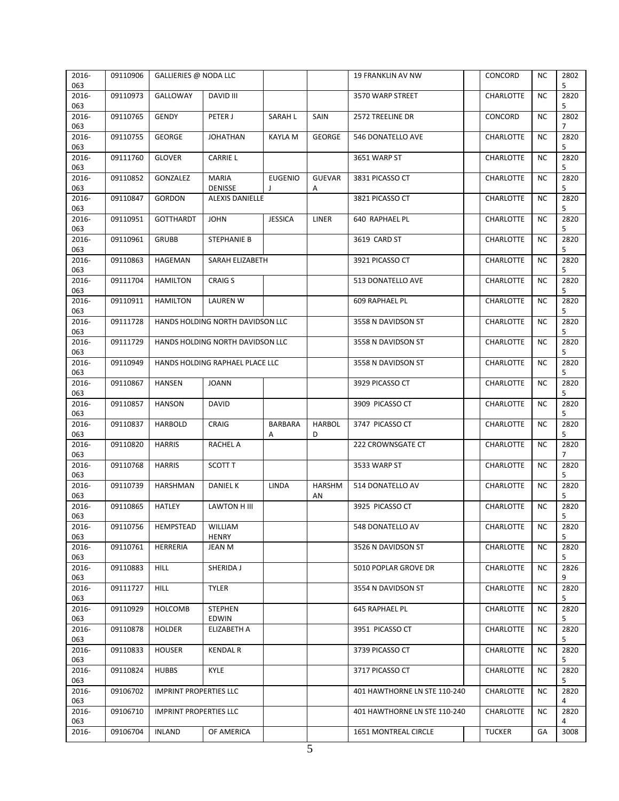| 2016-               | 09110906 | GALLIERIES @ NODA LLC         |                                  |                     |                     | 19 FRANKLIN AV NW            | CONCORD          | ΝC        | 2802<br>5 |
|---------------------|----------|-------------------------------|----------------------------------|---------------------|---------------------|------------------------------|------------------|-----------|-----------|
| 063<br>2016-<br>063 | 09110973 | GALLOWAY                      | <b>DAVID III</b>                 |                     |                     | 3570 WARP STREET             | <b>CHARLOTTE</b> | ΝC        | 2820<br>5 |
| 2016-<br>063        | 09110765 | <b>GENDY</b>                  | PETER J                          | SARAH L             | SAIN                | 2572 TREELINE DR             | CONCORD          | NC.       | 2802<br>7 |
| 2016-<br>063        | 09110755 | <b>GEORGE</b>                 | <b>JOHATHAN</b>                  | KAYLA M             | <b>GEORGE</b>       | 546 DONATELLO AVE            | CHARLOTTE        | NC.       | 2820<br>5 |
| 2016-<br>063        | 09111760 | GLOVER                        | <b>CARRIE L</b>                  |                     |                     | 3651 WARP ST                 | CHARLOTTE        | NC.       | 2820<br>5 |
| 2016-<br>063        | 09110852 | GONZALEZ                      | <b>MARIA</b><br><b>DENISSE</b>   | <b>EUGENIO</b><br>J | <b>GUEVAR</b><br>Α  | 3831 PICASSO CT              | <b>CHARLOTTE</b> | NC.       | 2820<br>5 |
| 2016-<br>063        | 09110847 | GORDON                        | <b>ALEXIS DANIELLE</b>           |                     |                     | 3821 PICASSO CT              | CHARLOTTE        | ΝC        | 2820<br>5 |
| 2016-<br>063        | 09110951 | <b>GOTTHARDT</b>              | <b>JOHN</b>                      | <b>JESSICA</b>      | LINER               | 640 RAPHAEL PL               | <b>CHARLOTTE</b> | NC.       | 2820<br>5 |
| 2016-<br>063        | 09110961 | <b>GRUBB</b>                  | <b>STEPHANIE B</b>               |                     |                     | 3619 CARD ST                 | CHARLOTTE        | NC.       | 2820<br>5 |
| 2016-<br>063        | 09110863 | HAGEMAN                       | SARAH ELIZABETH                  |                     |                     | 3921 PICASSO CT              | <b>CHARLOTTE</b> | <b>NC</b> | 2820<br>5 |
| 2016-<br>063        | 09111704 | <b>HAMILTON</b>               | <b>CRAIG S</b>                   |                     |                     | 513 DONATELLO AVE            | <b>CHARLOTTE</b> | NC.       | 2820<br>5 |
| 2016-<br>063        | 09110911 | <b>HAMILTON</b>               | <b>LAUREN W</b>                  |                     |                     | 609 RAPHAEL PL               | <b>CHARLOTTE</b> | <b>NC</b> | 2820<br>5 |
| 2016-<br>063        | 09111728 |                               | HANDS HOLDING NORTH DAVIDSON LLC |                     |                     | 3558 N DAVIDSON ST           | CHARLOTTE        | ΝC        | 2820<br>5 |
| 2016-<br>063        | 09111729 |                               | HANDS HOLDING NORTH DAVIDSON LLC |                     |                     | 3558 N DAVIDSON ST           | <b>CHARLOTTE</b> | <b>NC</b> | 2820<br>5 |
| 2016-<br>063        | 09110949 |                               | HANDS HOLDING RAPHAEL PLACE LLC  |                     |                     | 3558 N DAVIDSON ST           | CHARLOTTE        | ΝC        | 2820<br>5 |
| 2016-<br>063        | 09110867 | <b>HANSEN</b>                 | <b>JOANN</b>                     |                     |                     | 3929 PICASSO CT              | <b>CHARLOTTE</b> | NC.       | 2820<br>5 |
| 2016-<br>063        | 09110857 | <b>HANSON</b>                 | <b>DAVID</b>                     |                     |                     | 3909 PICASSO CT              | CHARLOTTE        | ΝC        | 2820<br>5 |
| 2016-<br>063        | 09110837 | <b>HARBOLD</b>                | <b>CRAIG</b>                     | <b>BARBARA</b><br>Α | <b>HARBOL</b><br>D  | 3747 PICASSO CT              | CHARLOTTE        | ΝC        | 2820<br>5 |
| 2016-<br>063        | 09110820 | <b>HARRIS</b>                 | RACHEL A                         |                     |                     | 222 CROWNSGATE CT            | <b>CHARLOTTE</b> | ΝC        | 2820<br>7 |
| 2016-<br>063        | 09110768 | <b>HARRIS</b>                 | SCOTT T                          |                     |                     | 3533 WARP ST                 | CHARLOTTE        | NC.       | 2820<br>5 |
| 2016-<br>063        | 09110739 | HARSHMAN                      | <b>DANIEL K</b>                  | LINDA               | <b>HARSHM</b><br>AN | 514 DONATELLO AV             | CHARLOTTE        | <b>NC</b> | 2820<br>5 |
| 2016-<br>063        | 09110865 | <b>HATLEY</b>                 | LAWTON H III                     |                     |                     | 3925 PICASSO CT              | CHARLOTTE        | <b>NC</b> | 2820<br>5 |
| 2016-<br>063        | 09110756 | HEMPSTEAD                     | <b>WILLIAM</b><br><b>HENRY</b>   |                     |                     | 548 DONATELLO AV             | CHARLOTTE        | ΝC        | 2820<br>5 |
| 2016-<br>063        | 09110761 | HERRERIA                      | JEAN M                           |                     |                     | 3526 N DAVIDSON ST           | <b>CHARLOTTE</b> | <b>NC</b> | 2820<br>5 |
| 2016-<br>063        | 09110883 | HILL                          | SHERIDA J                        |                     |                     | 5010 POPLAR GROVE DR         | CHARLOTTE        | ΝC        | 2826<br>9 |
| 2016-<br>063        | 09111727 | HILL                          | <b>TYLER</b>                     |                     |                     | 3554 N DAVIDSON ST           | CHARLOTTE        | ΝC        | 2820<br>5 |
| 2016-<br>063        | 09110929 | HOLCOMB                       | <b>STEPHEN</b><br>EDWIN          |                     |                     | 645 RAPHAEL PL               | CHARLOTTE        | NС        | 2820<br>5 |
| 2016-<br>063        | 09110878 | <b>HOLDER</b>                 | ELIZABETH A                      |                     |                     | 3951 PICASSO CT              | CHARLOTTE        | ΝC        | 2820<br>5 |
| 2016-<br>063        | 09110833 | <b>HOUSER</b>                 | <b>KENDAL R</b>                  |                     |                     | 3739 PICASSO CT              | <b>CHARLOTTE</b> | ΝC        | 2820<br>5 |
| 2016-<br>063        | 09110824 | <b>HUBBS</b>                  | <b>KYLE</b>                      |                     |                     | 3717 PICASSO CT              | CHARLOTTE        | NC.       | 2820<br>5 |
| 2016-<br>063        | 09106702 | <b>IMPRINT PROPERTIES LLC</b> |                                  |                     |                     | 401 HAWTHORNE LN STE 110-240 | <b>CHARLOTTE</b> | ΝC        | 2820<br>4 |
| 2016-<br>063        | 09106710 | <b>IMPRINT PROPERTIES LLC</b> |                                  |                     |                     | 401 HAWTHORNE LN STE 110-240 | CHARLOTTE        | ΝC        | 2820<br>4 |
| 2016-               | 09106704 | INLAND                        | OF AMERICA                       |                     |                     | 1651 MONTREAL CIRCLE         | <b>TUCKER</b>    | GA        | 3008      |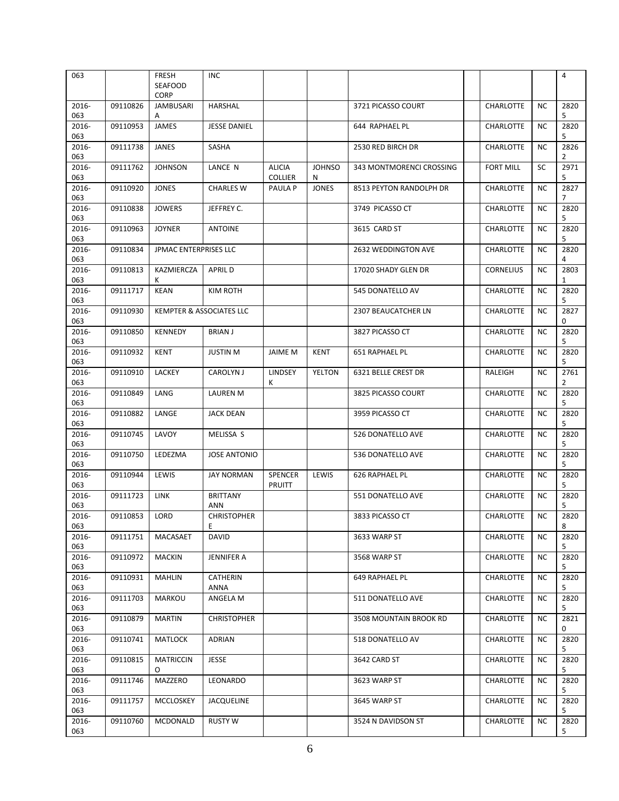| 063          |          | <b>FRESH</b>                        | <b>INC</b>              |                                 |                    |                            |                  |           | 4                      |
|--------------|----------|-------------------------------------|-------------------------|---------------------------------|--------------------|----------------------------|------------------|-----------|------------------------|
|              |          | <b>SEAFOOD</b><br><b>CORP</b>       |                         |                                 |                    |                            |                  |           |                        |
| 2016-<br>063 | 09110826 | <b>JAMBUSARI</b><br>A               | <b>HARSHAL</b>          |                                 |                    | 3721 PICASSO COURT         | <b>CHARLOTTE</b> | <b>NC</b> | 2820<br>5              |
| 2016-<br>063 | 09110953 | <b>JAMES</b>                        | <b>JESSE DANIEL</b>     |                                 |                    | 644 RAPHAEL PL             | <b>CHARLOTTE</b> | NC.       | 2820<br>5              |
| 2016-<br>063 | 09111738 | <b>JANES</b>                        | SASHA                   |                                 |                    | 2530 RED BIRCH DR          | <b>CHARLOTTE</b> | <b>NC</b> | 2826<br>2              |
| 2016-<br>063 | 09111762 | <b>JOHNSON</b>                      | LANCE N                 | <b>ALICIA</b><br><b>COLLIER</b> | <b>JOHNSO</b><br>N | 343 MONTMORENCI CROSSING   | <b>FORT MILL</b> | SC        | 2971<br>5              |
| 2016-<br>063 | 09110920 | <b>JONES</b>                        | <b>CHARLES W</b>        | PAULA P                         | <b>JONES</b>       | 8513 PEYTON RANDOLPH DR    | <b>CHARLOTTE</b> | ΝC        | 2827<br>7              |
| 2016-<br>063 | 09110838 | <b>JOWERS</b>                       | JEFFREY C.              |                                 |                    | 3749 PICASSO CT            | <b>CHARLOTTE</b> | NC.       | 2820<br>5              |
| 2016-<br>063 | 09110963 | <b>JOYNER</b>                       | <b>ANTOINE</b>          |                                 |                    | 3615 CARD ST               | <b>CHARLOTTE</b> | NC        | 2820<br>5              |
| 2016-<br>063 | 09110834 | <b>JPMAC ENTERPRISES LLC</b>        |                         |                                 |                    | 2632 WEDDINGTON AVE        | <b>CHARLOTTE</b> | NC        | 2820<br>4              |
| 2016-<br>063 | 09110813 | KAZMIERCZA<br>к                     | <b>APRILD</b>           |                                 |                    | 17020 SHADY GLEN DR        | <b>CORNELIUS</b> | ΝC        | 2803<br>1              |
| 2016-<br>063 | 09111717 | KEAN                                | <b>KIM ROTH</b>         |                                 |                    | 545 DONATELLO AV           | <b>CHARLOTTE</b> | ΝC        | 2820<br>5              |
| 2016-<br>063 | 09110930 | <b>KEMPTER &amp; ASSOCIATES LLC</b> |                         |                                 |                    | <b>2307 BEAUCATCHER LN</b> | <b>CHARLOTTE</b> | NC        | 2827<br>0              |
| 2016-<br>063 | 09110850 | KENNEDY                             | <b>BRIAN J</b>          |                                 |                    | 3827 PICASSO CT            | CHARLOTTE        | NC.       | 2820<br>5              |
| 2016-<br>063 | 09110932 | KENT                                | <b>JUSTIN M</b>         | <b>JAIME M</b>                  | <b>KENT</b>        | 651 RAPHAEL PL             | <b>CHARLOTTE</b> | <b>NC</b> | 2820<br>5              |
| 2016-<br>063 | 09110910 | LACKEY                              | <b>CAROLYN J</b>        | LINDSEY<br>K                    | <b>YELTON</b>      | 6321 BELLE CREST DR        | RALEIGH          | <b>NC</b> | 2761<br>$\overline{2}$ |
| 2016-<br>063 | 09110849 | LANG                                | <b>LAUREN M</b>         |                                 |                    | 3825 PICASSO COURT         | <b>CHARLOTTE</b> | <b>NC</b> | 2820<br>5              |
| 2016-<br>063 | 09110882 | LANGE                               | <b>JACK DEAN</b>        |                                 |                    | 3959 PICASSO CT            | <b>CHARLOTTE</b> | NC        | 2820<br>5              |
| 2016-<br>063 | 09110745 | LAVOY                               | MELISSA S               |                                 |                    | 526 DONATELLO AVE          | <b>CHARLOTTE</b> | <b>NC</b> | 2820<br>5              |
| 2016-<br>063 | 09110750 | LEDEZMA                             | <b>JOSE ANTONIO</b>     |                                 |                    | 536 DONATELLO AVE          | <b>CHARLOTTE</b> | <b>NC</b> | 2820<br>5              |
| 2016-<br>063 | 09110944 | LEWIS                               | <b>JAY NORMAN</b>       | SPENCER<br>PRUITT               | LEWIS              | 626 RAPHAEL PL             | <b>CHARLOTTE</b> | NC.       | 2820<br>5              |
| 2016-<br>063 | 09111723 | LINK                                | <b>BRITTANY</b><br>ANN  |                                 |                    | 551 DONATELLO AVE          | <b>CHARLOTTE</b> | ΝC        | 2820<br>5              |
| 2016-<br>063 | 09110853 | LORD                                | <b>CHRISTOPHER</b><br>E |                                 |                    | 3833 PICASSO CT            | <b>CHARLOTTE</b> | <b>NC</b> | 2820<br>8              |
| 2016-<br>063 | 09111751 | MACASAET                            | DAVID                   |                                 |                    | 3633 WARP ST               | CHARLOTTE        | ΝC        | 2820<br>5              |
| 2016-<br>063 | 09110972 | <b>MACKIN</b>                       | JENNIFER A              |                                 |                    | 3568 WARP ST               | CHARLOTTE        | ΝC        | 2820<br>5              |
| 2016-<br>063 | 09110931 | <b>MAHLIN</b>                       | CATHERIN<br>ANNA        |                                 |                    | 649 RAPHAEL PL             | CHARLOTTE        | <b>NC</b> | 2820<br>5              |
| 2016-<br>063 | 09111703 | MARKOU                              | ANGELA M                |                                 |                    | 511 DONATELLO AVE          | CHARLOTTE        | ΝC        | 2820<br>5              |
| 2016-<br>063 | 09110879 | MARTIN                              | <b>CHRISTOPHER</b>      |                                 |                    | 3508 MOUNTAIN BROOK RD     | CHARLOTTE        | ΝC        | 2821<br>0              |
| 2016-<br>063 | 09110741 | <b>MATLOCK</b>                      | ADRIAN                  |                                 |                    | 518 DONATELLO AV           | CHARLOTTE        | ΝC        | 2820<br>5              |
| 2016-<br>063 | 09110815 | <b>MATRICCIN</b><br>O               | JESSE                   |                                 |                    | 3642 CARD ST               | CHARLOTTE        | NC        | 2820<br>5              |
| 2016-<br>063 | 09111746 | MAZZERO                             | LEONARDO                |                                 |                    | 3623 WARP ST               | CHARLOTTE        | NC        | 2820<br>5              |
| 2016-<br>063 | 09111757 | <b>MCCLOSKEY</b>                    | <b>JACQUELINE</b>       |                                 |                    | 3645 WARP ST               | CHARLOTTE        | ΝC        | 2820<br>5              |
| 2016-<br>063 | 09110760 | MCDONALD                            | <b>RUSTY W</b>          |                                 |                    | 3524 N DAVIDSON ST         | CHARLOTTE        | NC        | 2820<br>5              |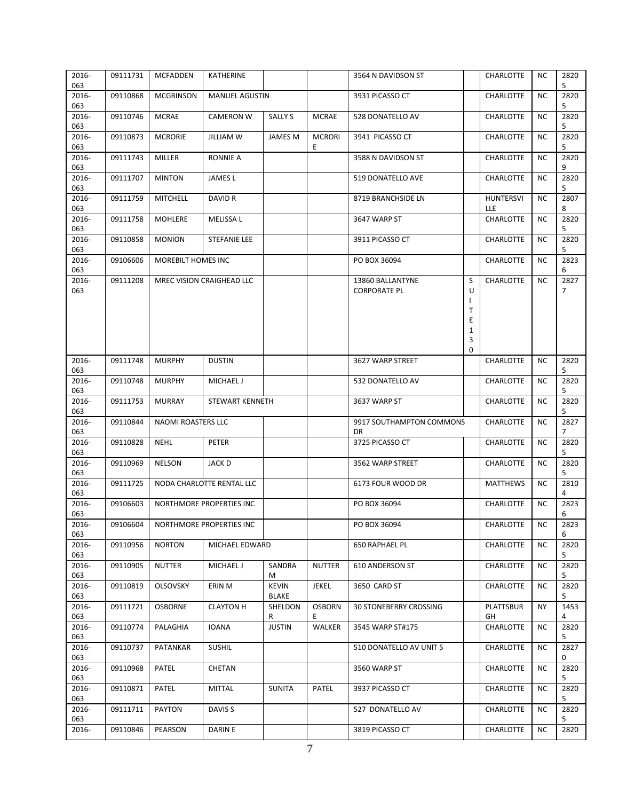| 2016-<br>063    | 09111731 | MCFADDEN           | <b>KATHERINE</b>                  |                              |                     | 3564 N DAVIDSON ST                      |                                                 | <b>CHARLOTTE</b>         | ΝC        | 2820<br>5              |
|-----------------|----------|--------------------|-----------------------------------|------------------------------|---------------------|-----------------------------------------|-------------------------------------------------|--------------------------|-----------|------------------------|
| 2016-<br>063    | 09110868 | <b>MCGRINSON</b>   | <b>MANUEL AGUSTIN</b>             |                              |                     | 3931 PICASSO CT                         |                                                 | <b>CHARLOTTE</b>         | ΝC        | 2820<br>5              |
| 2016-<br>063    | 09110746 | <b>MCRAE</b>       | <b>CAMERON W</b>                  | SALLY S                      | <b>MCRAE</b>        | 528 DONATELLO AV                        |                                                 | <b>CHARLOTTE</b>         | <b>NC</b> | 2820<br>5              |
| 2016-<br>063    | 09110873 | <b>MCRORIE</b>     | <b>JILLIAM W</b>                  | <b>JAMES M</b>               | <b>MCRORI</b><br>E  | 3941 PICASSO CT                         |                                                 | <b>CHARLOTTE</b>         | NC        | 2820<br>5              |
| 2016-<br>063    | 09111743 | MILLER             | <b>RONNIE A</b>                   |                              |                     | 3588 N DAVIDSON ST                      |                                                 | <b>CHARLOTTE</b>         | NC        | 2820<br>9              |
| 2016-<br>063    | 09111707 | <b>MINTON</b>      | <b>JAMESL</b>                     |                              |                     | 519 DONATELLO AVE                       |                                                 | <b>CHARLOTTE</b>         | <b>NC</b> | 2820<br>5              |
| 2016-<br>063    | 09111759 | <b>MITCHELL</b>    | DAVID R                           |                              |                     | 8719 BRANCHSIDE LN                      |                                                 | <b>HUNTERSVI</b><br>LLE. | ΝC        | 2807<br>8              |
| 2016-<br>063    | 09111758 | <b>MOHLERE</b>     | <b>MELISSA L</b>                  |                              |                     | 3647 WARP ST                            |                                                 | <b>CHARLOTTE</b>         | <b>NC</b> | 2820<br>5              |
| 2016-<br>063    | 09110858 | <b>MONION</b>      | <b>STEFANIE LEE</b>               |                              |                     | 3911 PICASSO CT                         |                                                 | <b>CHARLOTTE</b>         | <b>NC</b> | 2820<br>5              |
| 2016-<br>063    | 09106606 | MOREBILT HOMES INC |                                   |                              |                     | PO BOX 36094                            |                                                 | <b>CHARLOTTE</b>         | <b>NC</b> | 2823<br>6              |
| 2016-<br>063    | 09111208 |                    | MREC VISION CRAIGHEAD LLC         |                              |                     | 13860 BALLANTYNE<br><b>CORPORATE PL</b> | S<br>U<br>T.<br>T<br>Ε<br>$\mathbf 1$<br>3<br>0 | CHARLOTTE                | <b>NC</b> | 2827<br>$\overline{7}$ |
| 2016-<br>063    | 09111748 | <b>MURPHY</b>      | <b>DUSTIN</b>                     |                              |                     | 3627 WARP STREET                        |                                                 | <b>CHARLOTTE</b>         | <b>NC</b> | 2820<br>5              |
| 2016-<br>063    | 09110748 | <b>MURPHY</b>      | <b>MICHAEL J</b>                  |                              |                     | 532 DONATELLO AV                        |                                                 | <b>CHARLOTTE</b>         | ΝC        | 2820<br>5              |
| 2016-<br>063    | 09111753 | <b>MURRAY</b>      | STEWART KENNETH                   |                              |                     | 3637 WARP ST                            |                                                 | <b>CHARLOTTE</b>         | <b>NC</b> | 2820<br>5              |
| 2016-<br>063    | 09110844 | NAOMI ROASTERS LLC |                                   |                              |                     | 9917 SOUTHAMPTON COMMONS<br><b>DR</b>   |                                                 | <b>CHARLOTTE</b>         | NC.       | 2827<br>$\overline{7}$ |
| 2016-<br>063    | 09110828 | <b>NEHL</b>        | PETER                             |                              |                     | 3725 PICASSO CT                         |                                                 | <b>CHARLOTTE</b>         | <b>NC</b> | 2820<br>5              |
| 2016-<br>063    | 09110969 | NELSON             | <b>JACKD</b>                      |                              |                     | 3562 WARP STREET                        |                                                 | <b>CHARLOTTE</b>         | ΝC        | 2820<br>5              |
| 2016-<br>063    | 09111725 |                    | NODA CHARLOTTE RENTAL LLC         |                              |                     | 6173 FOUR WOOD DR                       |                                                 | <b>MATTHEWS</b>          | NC.       | 2810<br>4              |
| 2016-<br>063    | 09106603 |                    | NORTHMORE PROPERTIES INC          |                              |                     | PO BOX 36094                            |                                                 | <b>CHARLOTTE</b>         | <b>NC</b> | 2823<br>6              |
| 2016-<br>063    |          |                    | 09106604 NORTHMORE PROPERTIES INC |                              |                     | PO BOX 36094                            |                                                 | CHARLOTTE                | <b>NC</b> | 2823<br>6              |
| 2016-<br>063    | 09110956 | <b>NORTON</b>      | MICHAEL EDWARD                    |                              |                     | <b>650 RAPHAEL PL</b>                   |                                                 | CHARLOTTE                | ΝC        | 2820<br>5              |
| 2016-<br>063    | 09110905 | <b>NUTTER</b>      | <b>MICHAEL J</b>                  | SANDRA<br>М                  | <b>NUTTER</b>       | 610 ANDERSON ST                         |                                                 | CHARLOTTE                | <b>NC</b> | 2820<br>5              |
| 2016-<br>063    | 09110819 | <b>OLSOVSKY</b>    | ERIN M                            | <b>KEVIN</b><br><b>BLAKE</b> | JEKEL               | 3650 CARD ST                            |                                                 | CHARLOTTE                | NC        | 2820<br>5              |
| 2016-<br>063    | 09111721 | <b>OSBORNE</b>     | <b>CLAYTON H</b>                  | SHELDON<br>R                 | <b>OSBORN</b><br>E. | 30 STONEBERRY CROSSING                  |                                                 | <b>PLATTSBUR</b><br>GH   | ΝY        | 1453<br>4              |
| 2016-<br>063    | 09110774 | PALAGHIA           | <b>IOANA</b>                      | <b>JUSTIN</b>                | WALKER              | 3545 WARP ST#175                        |                                                 | CHARLOTTE                | <b>NC</b> | 2820<br>5              |
| 2016-<br>063    | 09110737 | PATANKAR           | <b>SUSHIL</b>                     |                              |                     | 510 DONATELLO AV UNIT 5                 |                                                 | CHARLOTTE                | ΝC        | 2827<br>0              |
| 2016-<br>063    | 09110968 | PATEL              | CHETAN                            |                              |                     | 3560 WARP ST                            |                                                 | CHARLOTTE                | <b>NC</b> | 2820<br>5              |
| 2016-<br>063    | 09110871 | PATEL              | <b>MITTAL</b>                     | <b>SUNITA</b>                | PATEL               | 3937 PICASSO CT                         |                                                 | CHARLOTTE                | NC        | 2820<br>5              |
| $2016 -$<br>063 | 09111711 | <b>PAYTON</b>      | DAVIS <sub>S</sub>                |                              |                     | 527 DONATELLO AV                        |                                                 | CHARLOTTE                | <b>NC</b> | 2820<br>5              |
| 2016-           | 09110846 | PEARSON            | DARIN E                           |                              |                     | 3819 PICASSO CT                         |                                                 | CHARLOTTE                | <b>NC</b> | 2820                   |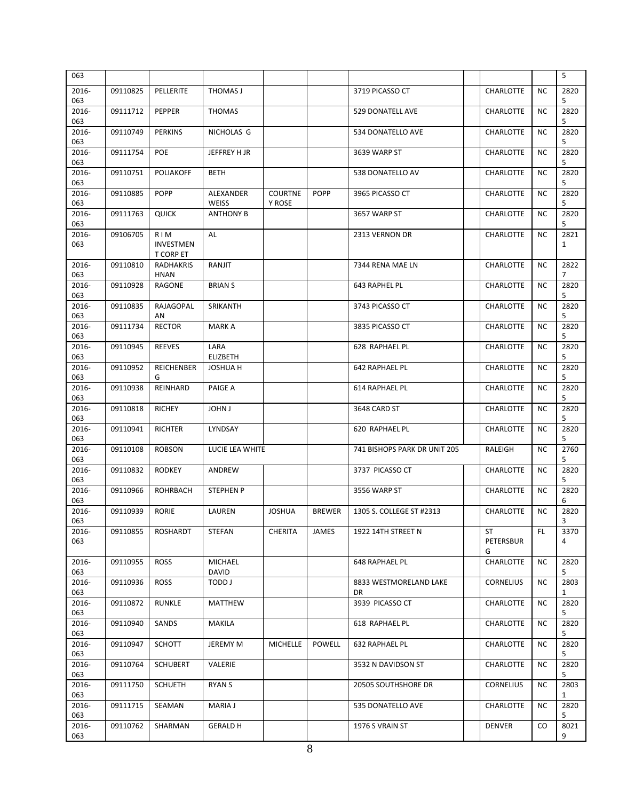| 063          |          |                                      |                           |                          |               |                              |                             |           | 5                    |
|--------------|----------|--------------------------------------|---------------------------|--------------------------|---------------|------------------------------|-----------------------------|-----------|----------------------|
| 2016-<br>063 | 09110825 | PELLERITE                            | THOMAS J                  |                          |               | 3719 PICASSO CT              | <b>CHARLOTTE</b>            | <b>NC</b> | 2820<br>5            |
| 2016-<br>063 | 09111712 | PEPPER                               | <b>THOMAS</b>             |                          |               | 529 DONATELL AVE             | <b>CHARLOTTE</b>            | ΝC        | 2820<br>5            |
| 2016-<br>063 | 09110749 | <b>PERKINS</b>                       | NICHOLAS G                |                          |               | 534 DONATELLO AVE            | <b>CHARLOTTE</b>            | NC.       | 2820<br>5            |
| 2016-<br>063 | 09111754 | <b>POE</b>                           | JEFFREY H JR              |                          |               | 3639 WARP ST                 | <b>CHARLOTTE</b>            | <b>NC</b> | 2820<br>5            |
| 2016-<br>063 | 09110751 | <b>POLIAKOFF</b>                     | <b>BETH</b>               |                          |               | 538 DONATELLO AV             | <b>CHARLOTTE</b>            | ΝC        | 2820<br>5            |
| 2016-<br>063 | 09110885 | <b>POPP</b>                          | ALEXANDER<br><b>WEISS</b> | <b>COURTNE</b><br>Y ROSE | <b>POPP</b>   | 3965 PICASSO CT              | <b>CHARLOTTE</b>            | ΝC        | 2820<br>5            |
| 2016-<br>063 | 09111763 | <b>QUICK</b>                         | <b>ANTHONY B</b>          |                          |               | 3657 WARP ST                 | <b>CHARLOTTE</b>            | ΝC        | 2820<br>5            |
| 2016-<br>063 | 09106705 | RIM<br><b>INVESTMEN</b><br>T CORP ET | AL                        |                          |               | 2313 VERNON DR               | <b>CHARLOTTE</b>            | ΝC        | 2821<br>$\mathbf{1}$ |
| 2016-<br>063 | 09110810 | <b>RADHAKRIS</b><br><b>HNAN</b>      | RANJIT                    |                          |               | 7344 RENA MAE LN             | <b>CHARLOTTE</b>            | <b>NC</b> | 2822<br>7            |
| 2016-<br>063 | 09110928 | RAGONE                               | <b>BRIAN S</b>            |                          |               | 643 RAPHEL PL                | <b>CHARLOTTE</b>            | <b>NC</b> | 2820<br>5            |
| 2016-<br>063 | 09110835 | RAJAGOPAL<br>AN                      | SRIKANTH                  |                          |               | 3743 PICASSO CT              | <b>CHARLOTTE</b>            | <b>NC</b> | 2820<br>5            |
| 2016-<br>063 | 09111734 | <b>RECTOR</b>                        | <b>MARK A</b>             |                          |               | 3835 PICASSO CT              | <b>CHARLOTTE</b>            | NC.       | 2820<br>5            |
| 2016-<br>063 | 09110945 | <b>REEVES</b>                        | LARA<br>ELIZBETH          |                          |               | 628 RAPHAEL PL               | <b>CHARLOTTE</b>            | NC.       | 2820<br>5            |
| 2016-<br>063 | 09110952 | <b>REICHENBER</b><br>G               | <b>JOSHUA H</b>           |                          |               | 642 RAPHAEL PL               | <b>CHARLOTTE</b>            | NC.       | 2820<br>5            |
| 2016-<br>063 | 09110938 | <b>REINHARD</b>                      | PAIGE A                   |                          |               | <b>614 RAPHAEL PL</b>        | <b>CHARLOTTE</b>            | <b>NC</b> | 2820<br>5            |
| 2016-<br>063 | 09110818 | <b>RICHEY</b>                        | <b>JOHN J</b>             |                          |               | 3648 CARD ST                 | <b>CHARLOTTE</b>            | ΝC        | 2820<br>5            |
| 2016-<br>063 | 09110941 | <b>RICHTER</b>                       | LYNDSAY                   |                          |               | 620 RAPHAEL PL               | <b>CHARLOTTE</b>            | NC.       | 2820<br>5            |
| 2016-<br>063 | 09110108 | <b>ROBSON</b>                        | LUCIE LEA WHITE           |                          |               | 741 BISHOPS PARK DR UNIT 205 | RALEIGH                     | <b>NC</b> | 2760<br>5            |
| 2016-<br>063 | 09110832 | <b>RODKEY</b>                        | ANDREW                    |                          |               | 3737 PICASSO CT              | <b>CHARLOTTE</b>            | <b>NC</b> | 2820<br>5            |
| 2016-<br>063 | 09110966 | <b>ROHRBACH</b>                      | <b>STEPHEN P</b>          |                          |               | 3556 WARP ST                 | <b>CHARLOTTE</b>            | ΝC        | 2820<br>6            |
| 2016-<br>063 | 09110939 | <b>RORIE</b>                         | LAUREN                    | <b>JOSHUA</b>            | <b>BREWER</b> | 1305 S. COLLEGE ST #2313     | <b>CHARLOTTE</b>            | <b>NC</b> | 2820<br>3            |
| 2016-<br>063 | 09110855 | ROSHARDT                             | STEFAN                    | CHERITA                  | JAMES         | 1922 14TH STREET N           | ST<br><b>PETERSBUR</b><br>G | FL.       | 3370<br>4            |
| 2016-<br>063 | 09110955 | <b>ROSS</b>                          | MICHAEL<br>DAVID          |                          |               | 648 RAPHAEL PL               | CHARLOTTE                   | ΝC        | 2820<br>5            |
| 2016-<br>063 | 09110936 | <b>ROSS</b>                          | TODD J                    |                          |               | 8833 WESTMORELAND LAKE<br>DR | <b>CORNELIUS</b>            | ΝC        | 2803<br>1            |
| 2016-<br>063 | 09110872 | <b>RUNKLE</b>                        | <b>MATTHEW</b>            |                          |               | 3939 PICASSO CT              | <b>CHARLOTTE</b>            | ΝC        | 2820<br>5            |
| 2016-<br>063 | 09110940 | SANDS                                | MAKILA                    |                          |               | 618 RAPHAEL PL               | CHARLOTTE                   | ΝC        | 2820<br>5            |
| 2016-<br>063 | 09110947 | <b>SCHOTT</b>                        | JEREMY M                  | MICHELLE                 | <b>POWELL</b> | 632 RAPHAEL PL               | CHARLOTTE                   | ΝC        | 2820<br>5            |
| 2016-<br>063 | 09110764 | <b>SCHUBERT</b>                      | VALERIE                   |                          |               | 3532 N DAVIDSON ST           | CHARLOTTE                   | ΝC        | 2820<br>5            |
| 2016-<br>063 | 09111750 | <b>SCHUETH</b>                       | RYAN S                    |                          |               | 20505 SOUTHSHORE DR          | <b>CORNELIUS</b>            | ΝC        | 2803<br>1            |
| 2016-<br>063 | 09111715 | SEAMAN                               | MARIA J                   |                          |               | 535 DONATELLO AVE            | CHARLOTTE                   | ΝC        | 2820<br>5            |
| 2016-<br>063 | 09110762 | SHARMAN                              | <b>GERALD H</b>           |                          |               | 1976 S VRAIN ST              | <b>DENVER</b>               | CO        | 8021<br>9            |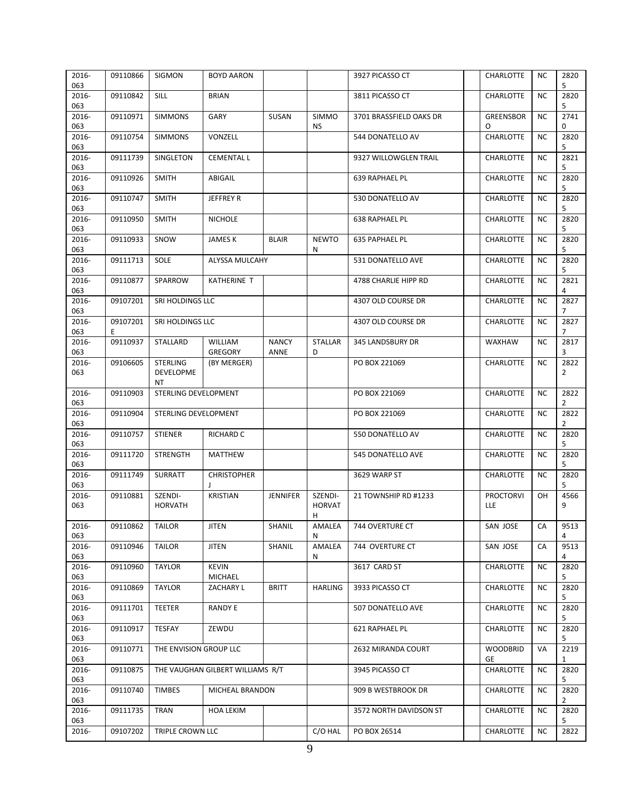| 2016-<br>063 | 09110866      | SIGMON                                    | <b>BOYD AARON</b>                |                      |                               | 3927 PICASSO CT         | <b>CHARLOTTE</b>        | ΝC        | 2820<br>5              |
|--------------|---------------|-------------------------------------------|----------------------------------|----------------------|-------------------------------|-------------------------|-------------------------|-----------|------------------------|
| 2016-<br>063 | 09110842      | SILL                                      | <b>BRIAN</b>                     |                      |                               | 3811 PICASSO CT         | <b>CHARLOTTE</b>        | <b>NC</b> | 2820<br>5              |
| 2016-<br>063 | 09110971      | <b>SIMMONS</b>                            | <b>GARY</b>                      | SUSAN                | <b>SIMMO</b><br><b>NS</b>     | 3701 BRASSFIELD OAKS DR | <b>GREENSBOR</b><br>0   | <b>NC</b> | 2741<br>0              |
| 2016-<br>063 | 09110754      | <b>SIMMONS</b>                            | VONZELL                          |                      |                               | 544 DONATELLO AV        | CHARLOTTE               | ΝC        | 2820<br>5              |
| 2016-<br>063 | 09111739      | SINGLETON                                 | <b>CEMENTAL L</b>                |                      |                               | 9327 WILLOWGLEN TRAIL   | <b>CHARLOTTE</b>        | ΝC        | 2821<br>5              |
| 2016-<br>063 | 09110926      | <b>SMITH</b>                              | ABIGAIL                          |                      |                               | 639 RAPHAEL PL          | <b>CHARLOTTE</b>        | ΝC        | 2820<br>5              |
| 2016-<br>063 | 09110747      | <b>SMITH</b>                              | <b>JEFFREY R</b>                 |                      |                               | 530 DONATELLO AV        | <b>CHARLOTTE</b>        | <b>NC</b> | 2820<br>5              |
| 2016-<br>063 | 09110950      | <b>SMITH</b>                              | <b>NICHOLE</b>                   |                      |                               | <b>638 RAPHAEL PL</b>   | <b>CHARLOTTE</b>        | <b>NC</b> | 2820<br>5              |
| 2016-<br>063 | 09110933      | SNOW                                      | <b>JAMES K</b>                   | <b>BLAIR</b>         | <b>NEWTO</b><br>N             | <b>635 PAPHAEL PL</b>   | <b>CHARLOTTE</b>        | <b>NC</b> | 2820<br>5              |
| 2016-<br>063 | 09111713      | SOLE                                      | ALYSSA MULCAHY                   |                      |                               | 531 DONATELLO AVE       | <b>CHARLOTTE</b>        | ΝC        | 2820<br>5              |
| 2016-<br>063 | 09110877      | SPARROW                                   | <b>KATHERINE T</b>               |                      |                               | 4788 CHARLIE HIPP RD    | <b>CHARLOTTE</b>        | <b>NC</b> | 2821<br>4              |
| 2016-<br>063 | 09107201      | SRI HOLDINGS LLC                          |                                  |                      |                               | 4307 OLD COURSE DR      | <b>CHARLOTTE</b>        | <b>NC</b> | 2827<br>7              |
| 2016-<br>063 | 09107201<br>Е | SRI HOLDINGS LLC                          |                                  |                      |                               | 4307 OLD COURSE DR      | CHARLOTTE               | <b>NC</b> | 2827<br>7              |
| 2016-<br>063 | 09110937      | <b>STALLARD</b>                           | <b>WILLIAM</b><br><b>GREGORY</b> | <b>NANCY</b><br>ANNE | <b>STALLAR</b><br>D           | 345 LANDSBURY DR        | <b>WAXHAW</b>           | <b>NC</b> | 2817<br>3              |
| 2016-<br>063 | 09106605      | <b>STERLING</b><br><b>DEVELOPME</b><br>NT | (BY MERGER)                      |                      |                               | PO BOX 221069           | <b>CHARLOTTE</b>        | <b>NC</b> | 2822<br>$\overline{2}$ |
| 2016-<br>063 | 09110903      | STERLING DEVELOPMENT                      |                                  |                      |                               | PO BOX 221069           | <b>CHARLOTTE</b>        | ΝC        | 2822<br>2              |
| 2016-<br>063 | 09110904      | STERLING DEVELOPMENT                      |                                  |                      |                               | PO BOX 221069           | <b>CHARLOTTE</b>        | <b>NC</b> | 2822<br>2              |
| 2016-<br>063 | 09110757      | <b>STIENER</b>                            | RICHARD C                        |                      |                               | 550 DONATELLO AV        | <b>CHARLOTTE</b>        | <b>NC</b> | 2820<br>5              |
| 2016-<br>063 | 09111720      | <b>STRENGTH</b>                           | <b>MATTHEW</b>                   |                      |                               | 545 DONATELLO AVE       | <b>CHARLOTTE</b>        | ΝC        | 2820<br>5              |
| 2016-<br>063 | 09111749      | <b>SURRATT</b>                            | <b>CHRISTOPHER</b><br>J          |                      |                               | 3629 WARP ST            | <b>CHARLOTTE</b>        | <b>NC</b> | 2820<br>5              |
| 2016-<br>063 | 09110881      | SZENDI-<br><b>HORVATH</b>                 | <b>KRISTIAN</b>                  | <b>JENNIFER</b>      | SZENDI-<br><b>HORVAT</b><br>н | 21 TOWNSHIP RD #1233    | <b>PROCTORVI</b><br>LLE | OH        | 4566<br>9              |
| 2016-<br>063 | 09110862      | <b>TAILOR</b>                             | <b>JITEN</b>                     | SHANIL               | AMALEA<br>N                   | 744 OVERTURE CT         | SAN JOSE                | CA        | 9513<br>4              |
| 2016-<br>063 | 09110946      | <b>TAILOR</b>                             | <b>JITEN</b>                     | SHANIL               | AMALEA<br>N                   | 744 OVERTURE CT         | SAN JOSE                | CA        | 9513<br>4              |
| 2016-<br>063 | 09110960      | <b>TAYLOR</b>                             | <b>KEVIN</b><br>MICHAEL          |                      |                               | 3617 CARD ST            | CHARLOTTE               | ΝC        | 2820<br>5              |
| 2016-<br>063 | 09110869      | <b>TAYLOR</b>                             | ZACHARY L                        | <b>BRITT</b>         | <b>HARLING</b>                | 3933 PICASSO CT         | CHARLOTTE               | ΝC        | 2820<br>5              |
| 2016-<br>063 | 09111701      | <b>TEETER</b>                             | <b>RANDY E</b>                   |                      |                               | 507 DONATELLO AVE       | CHARLOTTE               | <b>NC</b> | 2820<br>5              |
| 2016-<br>063 | 09110917      | <b>TESFAY</b>                             | ZEWDU                            |                      |                               | 621 RAPHAEL PL          | CHARLOTTE               | ΝC        | 2820<br>5              |
| 2016-<br>063 | 09110771      | THE ENVISION GROUP LLC                    |                                  |                      |                               | 2632 MIRANDA COURT      | <b>WOODBRID</b><br>GE   | VA        | 2219<br>1              |
| 2016-<br>063 | 09110875      |                                           | THE VAUGHAN GILBERT WILLIAMS R/T |                      |                               | 3945 PICASSO CT         | CHARLOTTE               | <b>NC</b> | 2820<br>5              |
| 2016-<br>063 | 09110740      | <b>TIMBES</b>                             | MICHEAL BRANDON                  |                      |                               | 909 B WESTBROOK DR      | CHARLOTTE               | ΝC        | 2820<br>2              |
| 2016-<br>063 | 09111735      | TRAN                                      | <b>HOA LEKIM</b>                 |                      |                               | 3572 NORTH DAVIDSON ST  | CHARLOTTE               | <b>NC</b> | 2820<br>5              |
| 2016-        | 09107202      | TRIPLE CROWN LLC                          |                                  |                      | C/O HAL                       | PO BOX 26514            | <b>CHARLOTTE</b>        | <b>NC</b> | 2822                   |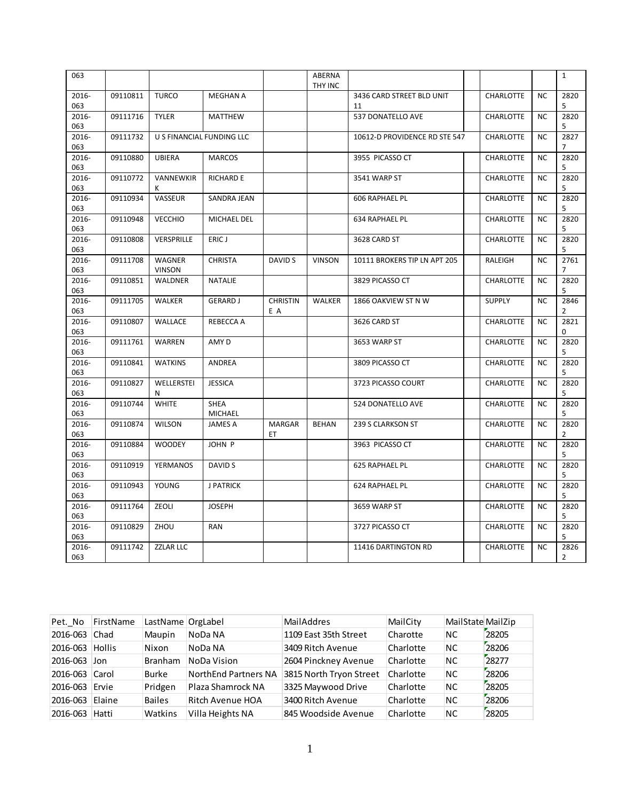| 063   |          |                   |                           |                 | ABERNA        |                               |                  |           | $\mathbf{1}$   |
|-------|----------|-------------------|---------------------------|-----------------|---------------|-------------------------------|------------------|-----------|----------------|
|       |          |                   |                           |                 | THY INC       |                               |                  |           |                |
| 2016- | 09110811 | <b>TURCO</b>      | <b>MEGHAN A</b>           |                 |               | 3436 CARD STREET BLD UNIT     | CHARLOTTE        | <b>NC</b> | 2820           |
| 063   |          |                   |                           |                 |               | 11                            |                  |           | 5              |
| 2016- | 09111716 | <b>TYLER</b>      | <b>MATTHEW</b>            |                 |               | 537 DONATELLO AVE             | <b>CHARLOTTE</b> | <b>NC</b> | 2820           |
| 063   |          |                   |                           |                 |               |                               |                  |           | 5              |
| 2016- | 09111732 |                   | U S FINANCIAL FUNDING LLC |                 |               | 10612-D PROVIDENCE RD STE 547 | <b>CHARLOTTE</b> | <b>NC</b> | 2827           |
| 063   |          |                   |                           |                 |               |                               |                  |           | 7              |
| 2016- | 09110880 | <b>UBIERA</b>     | <b>MARCOS</b>             |                 |               | 3955 PICASSO CT               | <b>CHARLOTTE</b> | <b>NC</b> | 2820           |
| 063   |          |                   |                           |                 |               |                               |                  |           | 5              |
| 2016- | 09110772 | <b>VANNEWKIR</b>  | <b>RICHARD E</b>          |                 |               | 3541 WARP ST                  | <b>CHARLOTTE</b> | <b>NC</b> | 2820           |
| 063   |          | к                 |                           |                 |               |                               |                  |           | 5              |
| 2016- | 09110934 | VASSEUR           | <b>SANDRA JEAN</b>        |                 |               | <b>606 RAPHAEL PL</b>         | <b>CHARLOTTE</b> | NC.       | 2820           |
| 063   |          |                   |                           |                 |               |                               |                  |           | 5              |
| 2016- | 09110948 | <b>VECCHIO</b>    | MICHAEL DEL               |                 |               | <b>634 RAPHAEL PL</b>         | <b>CHARLOTTE</b> | <b>NC</b> | 2820           |
| 063   |          |                   |                           |                 |               |                               |                  |           | 5              |
| 2016- | 09110808 | VERSPRILLE        | ERIC J                    |                 |               | 3628 CARD ST                  | <b>CHARLOTTE</b> | <b>NC</b> | 2820           |
| 063   |          |                   |                           |                 |               |                               |                  |           | 5              |
| 2016- | 09111708 | WAGNER            | <b>CHRISTA</b>            | DAVID S         | <b>VINSON</b> | 10111 BROKERS TIP LN APT 205  | RALEIGH          | <b>NC</b> | 2761           |
| 063   |          | <b>VINSON</b>     |                           |                 |               |                               |                  |           | 7              |
| 2016- | 09110851 | <b>WALDNER</b>    | <b>NATALIE</b>            |                 |               | 3829 PICASSO CT               | <b>CHARLOTTE</b> | <b>NC</b> | 2820           |
| 063   |          |                   |                           |                 |               |                               |                  |           | 5              |
| 2016- | 09111705 | WALKER            | <b>GERARD J</b>           | <b>CHRISTIN</b> | WALKER        | 1866 OAKVIEW ST N W           | <b>SUPPLY</b>    | <b>NC</b> | 2846           |
| 063   |          |                   |                           | E A             |               |                               |                  |           | 2              |
| 2016- | 09110807 | <b>WALLACE</b>    | <b>REBECCA A</b>          |                 |               | 3626 CARD ST                  | <b>CHARLOTTE</b> | <b>NC</b> | 2821           |
| 063   |          |                   |                           |                 |               |                               |                  |           | $\Omega$       |
| 2016- | 09111761 | WARREN            | AMY D                     |                 |               | 3653 WARP ST                  | CHARLOTTE        | <b>NC</b> | 2820           |
| 063   |          |                   |                           |                 |               |                               |                  |           | 5              |
| 2016- | 09110841 | <b>WATKINS</b>    | ANDREA                    |                 |               | 3809 PICASSO CT               | CHARLOTTE        | <b>NC</b> | 2820           |
| 063   |          |                   |                           |                 |               |                               |                  |           | 5              |
| 2016- | 09110827 | <b>WELLERSTEI</b> | <b>JESSICA</b>            |                 |               | 3723 PICASSO COURT            | <b>CHARLOTTE</b> | <b>NC</b> | 2820           |
| 063   |          | N                 |                           |                 |               |                               |                  |           | 5              |
| 2016- | 09110744 | <b>WHITE</b>      | <b>SHEA</b>               |                 |               | 524 DONATELLO AVE             | <b>CHARLOTTE</b> | <b>NC</b> | 2820           |
| 063   |          |                   | <b>MICHAEL</b>            |                 |               |                               |                  |           | 5              |
| 2016- | 09110874 | <b>WILSON</b>     | <b>JAMES A</b>            | <b>MARGAR</b>   | <b>BEHAN</b>  | 239 S CLARKSON ST             | <b>CHARLOTTE</b> | <b>NC</b> | 2820           |
| 063   |          |                   |                           | ET.             |               |                               |                  |           | 2              |
| 2016- | 09110884 | <b>WOODEY</b>     | JOHN P                    |                 |               | 3963 PICASSO CT               | <b>CHARLOTTE</b> | <b>NC</b> | 2820           |
| 063   |          |                   |                           |                 |               |                               |                  |           | 5              |
| 2016- | 09110919 | <b>YERMANOS</b>   | DAVID S                   |                 |               | 625 RAPHAEL PL                | CHARLOTTE        | <b>NC</b> | 2820           |
| 063   |          |                   |                           |                 |               |                               |                  |           | 5              |
| 2016- | 09110943 | <b>YOUNG</b>      | <b>J PATRICK</b>          |                 |               | 624 RAPHAEL PL                | CHARLOTTE        | <b>NC</b> | 2820           |
| 063   |          |                   |                           |                 |               |                               |                  |           | 5              |
| 2016- | 09111764 | ZEOLI             | <b>JOSEPH</b>             |                 |               | 3659 WARP ST                  | <b>CHARLOTTE</b> | <b>NC</b> | 2820           |
| 063   |          |                   |                           |                 |               |                               |                  |           | 5              |
| 2016- | 09110829 | ZHOU              | <b>RAN</b>                |                 |               | 3727 PICASSO CT               | <b>CHARLOTTE</b> | <b>NC</b> | 2820           |
| 063   |          |                   |                           |                 |               |                               |                  |           | 5              |
| 2016- | 09111742 | <b>ZZLAR LLC</b>  |                           |                 |               | 11416 DARTINGTON RD           | <b>CHARLOTTE</b> | <b>NC</b> | 2826           |
| 063   |          |                   |                           |                 |               |                               |                  |           | $\overline{2}$ |

| Pet. No  | FirstName     | LastName OrgLabel |                         | <b>MailAddres</b>       | MailCity  | MailState MailZip |       |
|----------|---------------|-------------------|-------------------------|-------------------------|-----------|-------------------|-------|
| 2016-063 | Chad          | Maupin            | NoDa NA                 | 1109 East 35th Street   | Charotte  | <b>NC</b>         | 28205 |
| 2016-063 | <b>Hollis</b> | Nixon             | NoDa NA                 | 3409 Ritch Avenue       | Charlotte | <b>NC</b>         | 28206 |
| 2016-063 | Jon           | Branham           | NoDa Vision             | 2604 Pinckney Avenue    | Charlotte | <b>NC</b>         | 28277 |
| 2016-063 | Carol         | <b>Burke</b>      | NorthEnd Partners NA    | 3815 North Tryon Street | Charlotte | <b>NC</b>         | 28206 |
| 2016-063 | Ervie         | Pridgen           | Plaza Shamrock NA       | 3325 Maywood Drive      | Charlotte | <b>NC</b>         | 28205 |
| 2016-063 | Elaine        | <b>Bailes</b>     | <b>Ritch Avenue HOA</b> | 3400 Ritch Avenue       | Charlotte | <b>NC</b>         | 28206 |
| 2016-063 | Hatti         | Watkins           | Villa Heights NA        | 845 Woodside Avenue     | Charlotte | <b>NC</b>         | 28205 |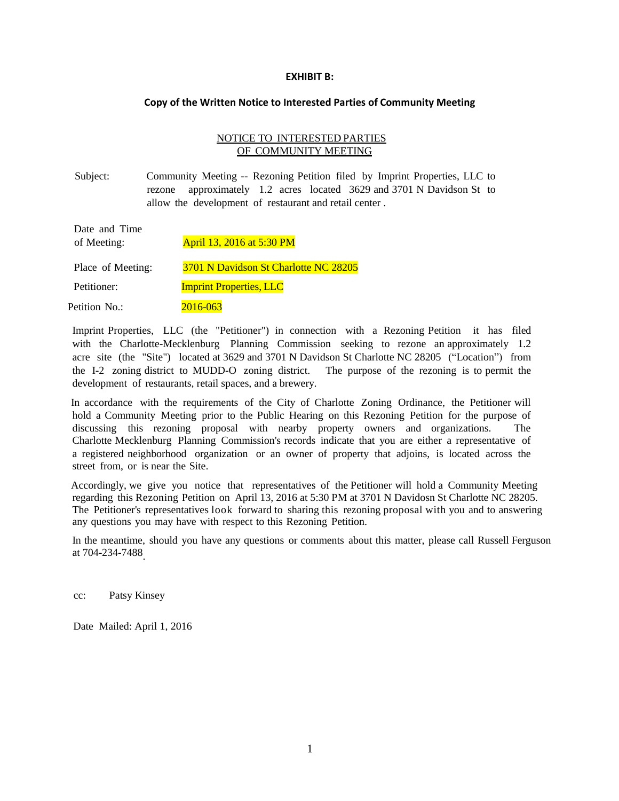### **EXHIBIT B:**

#### **Copy of the Written Notice to Interested Parties of Community Meeting**

### NOTICE TO INTERESTED PARTIES OF COMMUNITY MEETING

Subject: Community Meeting -- Rezoning Petition filed by Imprint Properties, LLC to rezone approximately 1.2 acres located 3629 and 3701 N Davidson St to allow the development of restaurant and retail center .

| Date and Time     |                                       |
|-------------------|---------------------------------------|
| of Meeting:       | <b>April 13, 2016 at 5:30 PM</b>      |
|                   |                                       |
| Place of Meeting: | 3701 N Davidson St Charlotte NC 28205 |
|                   |                                       |
| Petitioner:       | <b>Imprint Properties, LLC</b>        |
| Petition No.:     | 2016-063                              |
|                   |                                       |

Imprint Properties, LLC (the "Petitioner") in connection with a Rezoning Petition it has filed with the Charlotte-Mecklenburg Planning Commission seeking to rezone an approximately 1.2 acre site (the "Site") located at 3629 and 3701 N Davidson St Charlotte NC 28205 ("Location") from the I-2 zoning district to MUDD-O zoning district. The purpose of the rezoning is to permit the development of restaurants, retail spaces, and a brewery.

In accordance with the requirements of the City of Charlotte Zoning Ordinance, the Petitioner will hold a Community Meeting prior to the Public Hearing on this Rezoning Petition for the purpose of discussing this rezoning proposal with nearby property owners and organizations. The Charlotte Mecklenburg Planning Commission's records indicate that you are either a representative of a registered neighborhood organization or an owner of property that adjoins, is located across the street from, or is near the Site.

Accordingly, we give you notice that representatives of the Petitioner will hold a Community Meeting regarding this Rezoning Petition on April 13, 2016 at 5:30 PM at 3701 N Davidosn St Charlotte NC 28205. The Petitioner's representatives look forward to sharing this rezoning proposal with you and to answering any questions you may have with respect to this Rezoning Petition.

In the meantime, should you have any questions or comments about this matter, please call Russell Ferguson at 704-234-7488.

cc: Patsy Kinsey

Date Mailed: April 1, 2016